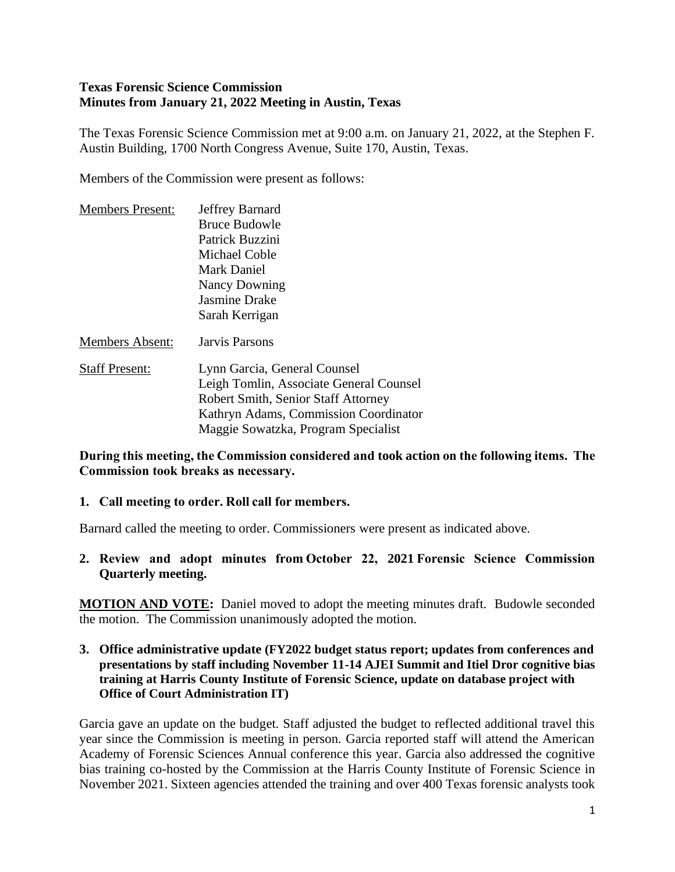#### **Texas Forensic Science Commission Minutes from January 21, 2022 Meeting in Austin, Texas**

The Texas Forensic Science Commission met at 9:00 a.m. on January 21, 2022, at the Stephen F. Austin Building, 1700 North Congress Avenue, Suite 170, Austin, Texas.

Members of the Commission were present as follows:

| <b>Members Present:</b> | Jeffrey Barnard                            |
|-------------------------|--------------------------------------------|
|                         | <b>Bruce Budowle</b>                       |
|                         | Patrick Buzzini                            |
|                         | Michael Coble                              |
|                         | Mark Daniel                                |
|                         | <b>Nancy Downing</b>                       |
|                         | <b>Jasmine Drake</b>                       |
|                         | Sarah Kerrigan                             |
| <b>Members Absent:</b>  | Jarvis Parsons                             |
| <b>Staff Present:</b>   | Lynn Garcia, General Counsel               |
|                         | Leigh Tomlin, Associate General Counsel    |
|                         | <b>Robert Smith, Senior Staff Attorney</b> |
|                         | Kathryn Adams, Commission Coordinator      |
|                         | Maggie Sowatzka, Program Specialist        |

**During this meeting, the Commission considered and took action on the following items.  The Commission took breaks as necessary.**

#### **1. Call meeting to order. Roll call for members.**

Barnard called the meeting to order. Commissioners were present as indicated above.

**2. Review and adopt minutes from October 22, 2021 Forensic Science Commission Quarterly meeting.**

**MOTION AND VOTE:** Daniel moved to adopt the meeting minutes draft. Budowle seconded the motion. The Commission unanimously adopted the motion.

**3. Office administrative update (FY2022 budget status report; updates from conferences and presentations by staff including November 11-14 AJEI Summit and Itiel Dror cognitive bias training at Harris County Institute of Forensic Science, update on database project with Office of Court Administration IT)**

Garcia gave an update on the budget. Staff adjusted the budget to reflected additional travel this year since the Commission is meeting in person. Garcia reported staff will attend the American Academy of Forensic Sciences Annual conference this year. Garcia also addressed the cognitive bias training co-hosted by the Commission at the Harris County Institute of Forensic Science in November 2021. Sixteen agencies attended the training and over 400 Texas forensic analysts took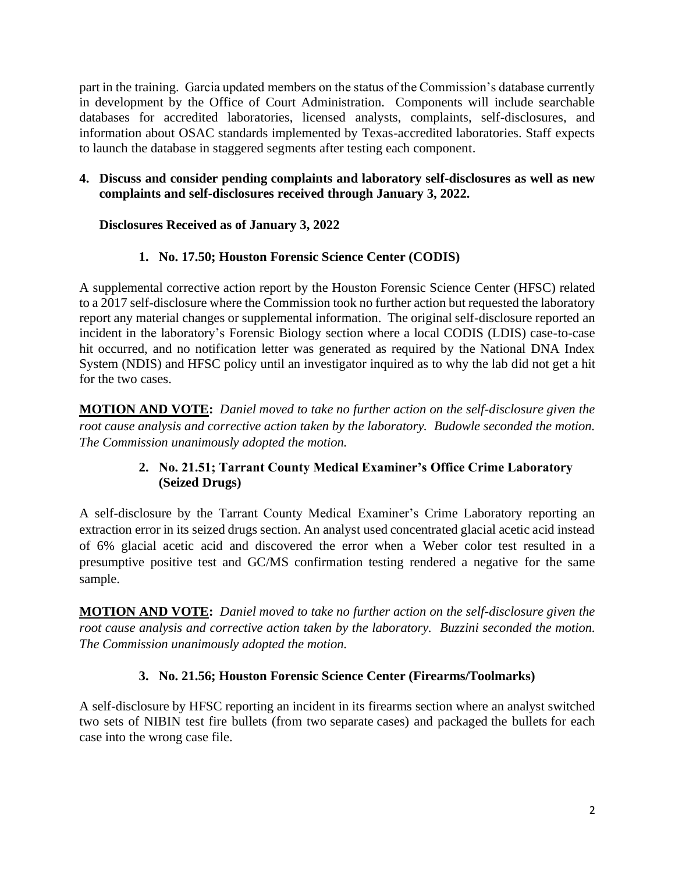part in the training. Garcia updated members on the status of the Commission's database currently in development by the Office of Court Administration. Components will include searchable databases for accredited laboratories, licensed analysts, complaints, self-disclosures, and information about OSAC standards implemented by Texas-accredited laboratories. Staff expects to launch the database in staggered segments after testing each component.

#### **4. Discuss and consider pending complaints and laboratory self-disclosures as well as new complaints and self-disclosures received through January 3, 2022.**

## **Disclosures Received as of January 3, 2022**

### **1. No. 17.50; Houston Forensic Science Center (CODIS)**

A supplemental corrective action report by the Houston Forensic Science Center (HFSC) related to a 2017 self-disclosure where the Commission took no further action but requested the laboratory report any material changes or supplemental information. The original self-disclosure reported an incident in the laboratory's Forensic Biology section where a local CODIS (LDIS) case-to-case hit occurred, and no notification letter was generated as required by the National DNA Index System (NDIS) and HFSC policy until an investigator inquired as to why the lab did not get a hit for the two cases.

**MOTION AND VOTE:** *Daniel moved to take no further action on the self-disclosure given the root cause analysis and corrective action taken by the laboratory. Budowle seconded the motion. The Commission unanimously adopted the motion.*

### **2. No. 21.51; Tarrant County Medical Examiner's Office Crime Laboratory (Seized Drugs)**

A self-disclosure by the Tarrant County Medical Examiner's Crime Laboratory reporting an extraction error in its seized drugs section. An analyst used concentrated glacial acetic acid instead of 6% glacial acetic acid and discovered the error when a Weber color test resulted in a presumptive positive test and GC/MS confirmation testing rendered a negative for the same sample.

**MOTION AND VOTE:** *Daniel moved to take no further action on the self-disclosure given the root cause analysis and corrective action taken by the laboratory. Buzzini seconded the motion. The Commission unanimously adopted the motion.*

#### **3. No. 21.56; Houston Forensic Science Center (Firearms/Toolmarks)**

A self-disclosure by HFSC reporting an incident in its firearms section where an analyst switched two sets of NIBIN test fire bullets (from two separate cases) and packaged the bullets for each case into the wrong case file.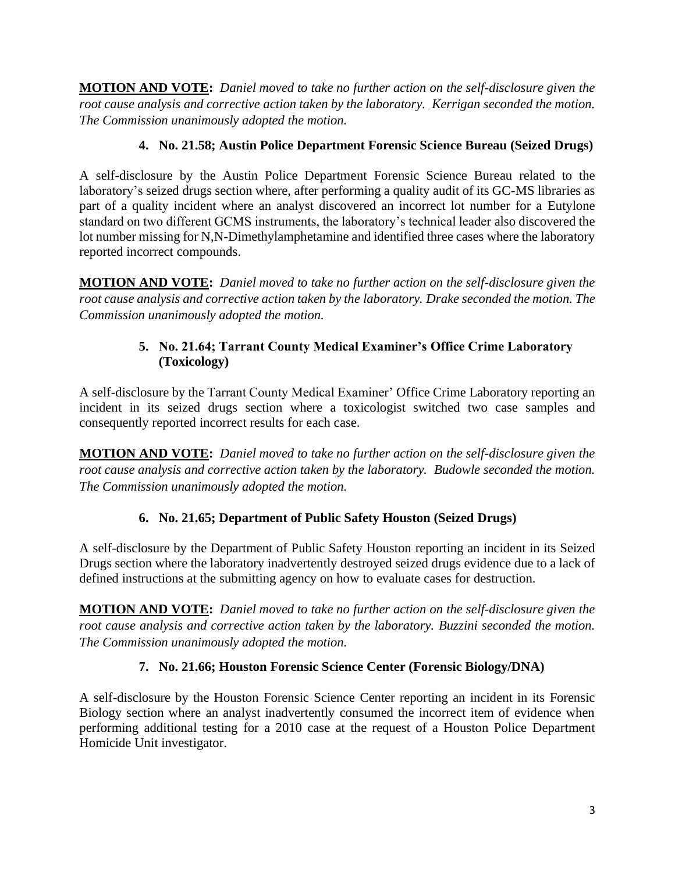**MOTION AND VOTE:** *Daniel moved to take no further action on the self-disclosure given the root cause analysis and corrective action taken by the laboratory. Kerrigan seconded the motion. The Commission unanimously adopted the motion.*

## **4. No. 21.58; Austin Police Department Forensic Science Bureau (Seized Drugs)**

A self-disclosure by the Austin Police Department Forensic Science Bureau related to the laboratory's seized drugs section where, after performing a quality audit of its GC-MS libraries as part of a quality incident where an analyst discovered an incorrect lot number for a Eutylone standard on two different GCMS instruments, the laboratory's technical leader also discovered the lot number missing for N,N-Dimethylamphetamine and identified three cases where the laboratory reported incorrect compounds.

**MOTION AND VOTE:** *Daniel moved to take no further action on the self-disclosure given the root cause analysis and corrective action taken by the laboratory. Drake seconded the motion. The Commission unanimously adopted the motion.*

## **5. No. 21.64; Tarrant County Medical Examiner's Office Crime Laboratory (Toxicology)**

A self-disclosure by the Tarrant County Medical Examiner' Office Crime Laboratory reporting an incident in its seized drugs section where a toxicologist switched two case samples and consequently reported incorrect results for each case.

**MOTION AND VOTE:** *Daniel moved to take no further action on the self-disclosure given the root cause analysis and corrective action taken by the laboratory. Budowle seconded the motion. The Commission unanimously adopted the motion.*

# **6. No. 21.65; Department of Public Safety Houston (Seized Drugs)**

A self-disclosure by the Department of Public Safety Houston reporting an incident in its Seized Drugs section where the laboratory inadvertently destroyed seized drugs evidence due to a lack of defined instructions at the submitting agency on how to evaluate cases for destruction.

**MOTION AND VOTE:** *Daniel moved to take no further action on the self-disclosure given the root cause analysis and corrective action taken by the laboratory. Buzzini seconded the motion. The Commission unanimously adopted the motion.*

## **7. No. 21.66; Houston Forensic Science Center (Forensic Biology/DNA)**

A self-disclosure by the Houston Forensic Science Center reporting an incident in its Forensic Biology section where an analyst inadvertently consumed the incorrect item of evidence when performing additional testing for a 2010 case at the request of a Houston Police Department Homicide Unit investigator.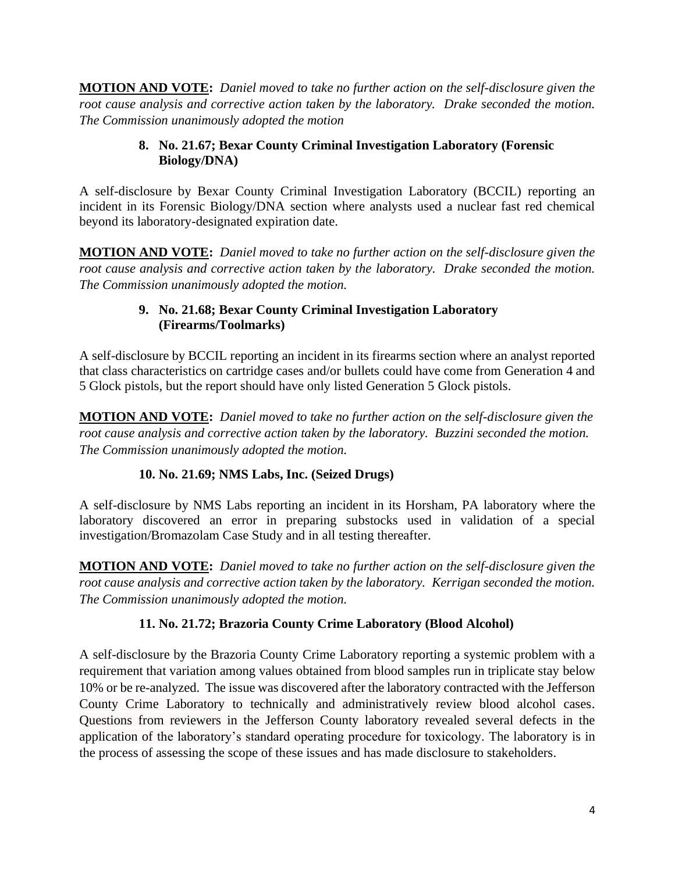**MOTION AND VOTE:** *Daniel moved to take no further action on the self-disclosure given the root cause analysis and corrective action taken by the laboratory. Drake seconded the motion. The Commission unanimously adopted the motion*

#### **8. No. 21.67; Bexar County Criminal Investigation Laboratory (Forensic Biology/DNA)**

A self-disclosure by Bexar County Criminal Investigation Laboratory (BCCIL) reporting an incident in its Forensic Biology/DNA section where analysts used a nuclear fast red chemical beyond its laboratory-designated expiration date.

**MOTION AND VOTE:** *Daniel moved to take no further action on the self-disclosure given the root cause analysis and corrective action taken by the laboratory. Drake seconded the motion. The Commission unanimously adopted the motion.*

#### **9. No. 21.68; Bexar County Criminal Investigation Laboratory (Firearms/Toolmarks)**

A self-disclosure by BCCIL reporting an incident in its firearms section where an analyst reported that class characteristics on cartridge cases and/or bullets could have come from Generation 4 and 5 Glock pistols, but the report should have only listed Generation 5 Glock pistols.

**MOTION AND VOTE:** *Daniel moved to take no further action on the self-disclosure given the root cause analysis and corrective action taken by the laboratory. Buzzini seconded the motion. The Commission unanimously adopted the motion.*

## **10. No. 21.69; NMS Labs, Inc. (Seized Drugs)**

A self-disclosure by NMS Labs reporting an incident in its Horsham, PA laboratory where the laboratory discovered an error in preparing substocks used in validation of a special investigation/Bromazolam Case Study and in all testing thereafter.

**MOTION AND VOTE:** *Daniel moved to take no further action on the self-disclosure given the root cause analysis and corrective action taken by the laboratory. Kerrigan seconded the motion. The Commission unanimously adopted the motion.*

## **11. No. 21.72; Brazoria County Crime Laboratory (Blood Alcohol)**

A self-disclosure by the Brazoria County Crime Laboratory reporting a systemic problem with a requirement that variation among values obtained from blood samples run in triplicate stay below 10% or be re-analyzed. The issue was discovered after the laboratory contracted with the Jefferson County Crime Laboratory to technically and administratively review blood alcohol cases. Questions from reviewers in the Jefferson County laboratory revealed several defects in the application of the laboratory's standard operating procedure for toxicology. The laboratory is in the process of assessing the scope of these issues and has made disclosure to stakeholders.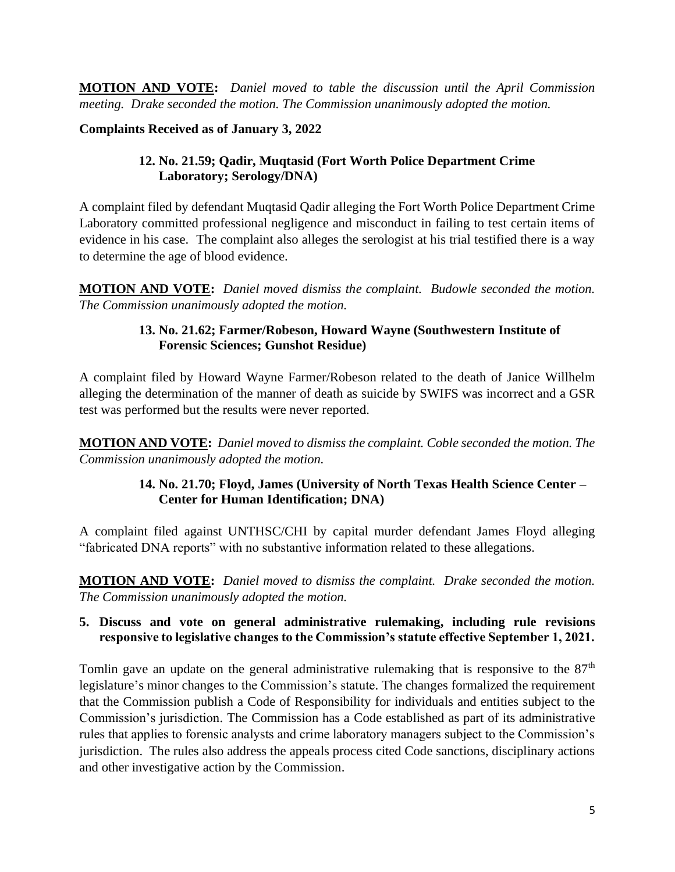**MOTION AND VOTE:** *Daniel moved to table the discussion until the April Commission meeting. Drake seconded the motion. The Commission unanimously adopted the motion.*

**Complaints Received as of January 3, 2022** 

## **12. No. 21.59; Qadir, Muqtasid (Fort Worth Police Department Crime Laboratory; Serology/DNA)**

A complaint filed by defendant Muqtasid Qadir alleging the Fort Worth Police Department Crime Laboratory committed professional negligence and misconduct in failing to test certain items of evidence in his case. The complaint also alleges the serologist at his trial testified there is a way to determine the age of blood evidence.

**MOTION AND VOTE:** *Daniel moved dismiss the complaint. Budowle seconded the motion. The Commission unanimously adopted the motion.*

### **13. No. 21.62; Farmer/Robeson, Howard Wayne (Southwestern Institute of Forensic Sciences; Gunshot Residue)**

A complaint filed by Howard Wayne Farmer/Robeson related to the death of Janice Willhelm alleging the determination of the manner of death as suicide by SWIFS was incorrect and a GSR test was performed but the results were never reported.

**MOTION AND VOTE:** *Daniel moved to dismiss the complaint. Coble seconded the motion. The Commission unanimously adopted the motion.*

### **14. No. 21.70; Floyd, James (University of North Texas Health Science Center – Center for Human Identification; DNA)**

A complaint filed against UNTHSC/CHI by capital murder defendant James Floyd alleging "fabricated DNA reports" with no substantive information related to these allegations.

**MOTION AND VOTE:** *Daniel moved to dismiss the complaint. Drake seconded the motion. The Commission unanimously adopted the motion.*

### **5. Discuss and vote on general administrative rulemaking, including rule revisions responsive to legislative changes to the Commission's statute effective September 1, 2021.**

Tomlin gave an update on the general administrative rulemaking that is responsive to the  $87<sup>th</sup>$ legislature's minor changes to the Commission's statute. The changes formalized the requirement that the Commission publish a Code of Responsibility for individuals and entities subject to the Commission's jurisdiction. The Commission has a Code established as part of its administrative rules that applies to forensic analysts and crime laboratory managers subject to the Commission's jurisdiction. The rules also address the appeals process cited Code sanctions, disciplinary actions and other investigative action by the Commission.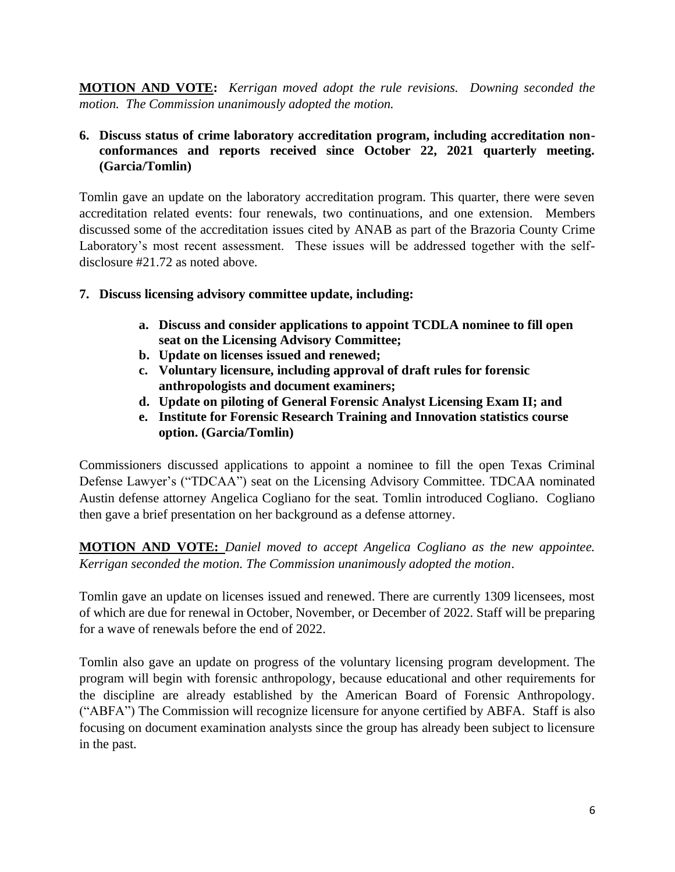**MOTION AND VOTE:** *Kerrigan moved adopt the rule revisions. Downing seconded the motion. The Commission unanimously adopted the motion.*

#### **6. Discuss status of crime laboratory accreditation program, including accreditation nonconformances and reports received since October 22, 2021 quarterly meeting. (Garcia/Tomlin)**

Tomlin gave an update on the laboratory accreditation program. This quarter, there were seven accreditation related events: four renewals, two continuations, and one extension. Members discussed some of the accreditation issues cited by ANAB as part of the Brazoria County Crime Laboratory's most recent assessment. These issues will be addressed together with the selfdisclosure #21.72 as noted above.

- **7. Discuss licensing advisory committee update, including:** 
	- **a. Discuss and consider applications to appoint TCDLA nominee to fill open seat on the Licensing Advisory Committee;**
	- **b. Update on licenses issued and renewed;**
	- **c. Voluntary licensure, including approval of draft rules for forensic anthropologists and document examiners;**
	- **d. Update on piloting of General Forensic Analyst Licensing Exam II; and**
	- **e. Institute for Forensic Research Training and Innovation statistics course option. (Garcia/Tomlin)**

Commissioners discussed applications to appoint a nominee to fill the open Texas Criminal Defense Lawyer's ("TDCAA") seat on the Licensing Advisory Committee. TDCAA nominated Austin defense attorney Angelica Cogliano for the seat. Tomlin introduced Cogliano. Cogliano then gave a brief presentation on her background as a defense attorney.

**MOTION AND VOTE:** *Daniel moved to accept Angelica Cogliano as the new appointee. Kerrigan seconded the motion. The Commission unanimously adopted the motion*.

Tomlin gave an update on licenses issued and renewed. There are currently 1309 licensees, most of which are due for renewal in October, November, or December of 2022. Staff will be preparing for a wave of renewals before the end of 2022.

Tomlin also gave an update on progress of the voluntary licensing program development. The program will begin with forensic anthropology, because educational and other requirements for the discipline are already established by the American Board of Forensic Anthropology. ("ABFA") The Commission will recognize licensure for anyone certified by ABFA. Staff is also focusing on document examination analysts since the group has already been subject to licensure in the past.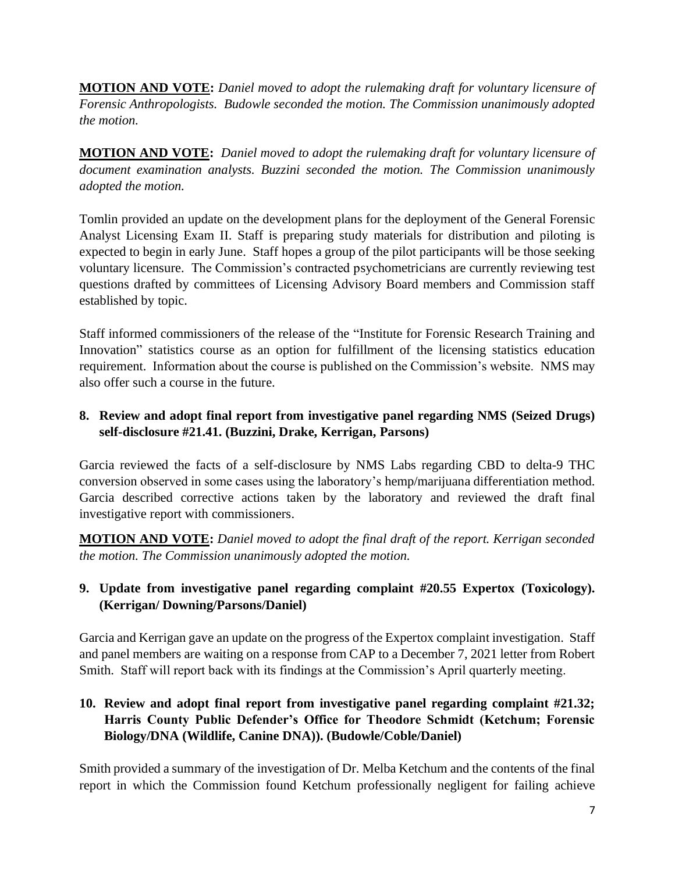**MOTION AND VOTE:** *Daniel moved to adopt the rulemaking draft for voluntary licensure of Forensic Anthropologists. Budowle seconded the motion. The Commission unanimously adopted the motion.*

**MOTION AND VOTE:** *Daniel moved to adopt the rulemaking draft for voluntary licensure of document examination analysts. Buzzini seconded the motion. The Commission unanimously adopted the motion.*

Tomlin provided an update on the development plans for the deployment of the General Forensic Analyst Licensing Exam II. Staff is preparing study materials for distribution and piloting is expected to begin in early June. Staff hopes a group of the pilot participants will be those seeking voluntary licensure. The Commission's contracted psychometricians are currently reviewing test questions drafted by committees of Licensing Advisory Board members and Commission staff established by topic.

Staff informed commissioners of the release of the "Institute for Forensic Research Training and Innovation" statistics course as an option for fulfillment of the licensing statistics education requirement. Information about the course is published on the Commission's website. NMS may also offer such a course in the future.

## **8. Review and adopt final report from investigative panel regarding NMS (Seized Drugs) self-disclosure #21.41. (Buzzini, Drake, Kerrigan, Parsons)**

Garcia reviewed the facts of a self-disclosure by NMS Labs regarding CBD to delta-9 THC conversion observed in some cases using the laboratory's hemp/marijuana differentiation method. Garcia described corrective actions taken by the laboratory and reviewed the draft final investigative report with commissioners.

**MOTION AND VOTE:** *Daniel moved to adopt the final draft of the report. Kerrigan seconded the motion. The Commission unanimously adopted the motion.*

## **9. Update from investigative panel regarding complaint #20.55 Expertox (Toxicology). (Kerrigan/ Downing/Parsons/Daniel)**

Garcia and Kerrigan gave an update on the progress of the Expertox complaint investigation. Staff and panel members are waiting on a response from CAP to a December 7, 2021 letter from Robert Smith. Staff will report back with its findings at the Commission's April quarterly meeting.

**10. Review and adopt final report from investigative panel regarding complaint #21.32; Harris County Public Defender's Office for Theodore Schmidt (Ketchum; Forensic Biology/DNA (Wildlife, Canine DNA)). (Budowle/Coble/Daniel)** 

Smith provided a summary of the investigation of Dr. Melba Ketchum and the contents of the final report in which the Commission found Ketchum professionally negligent for failing achieve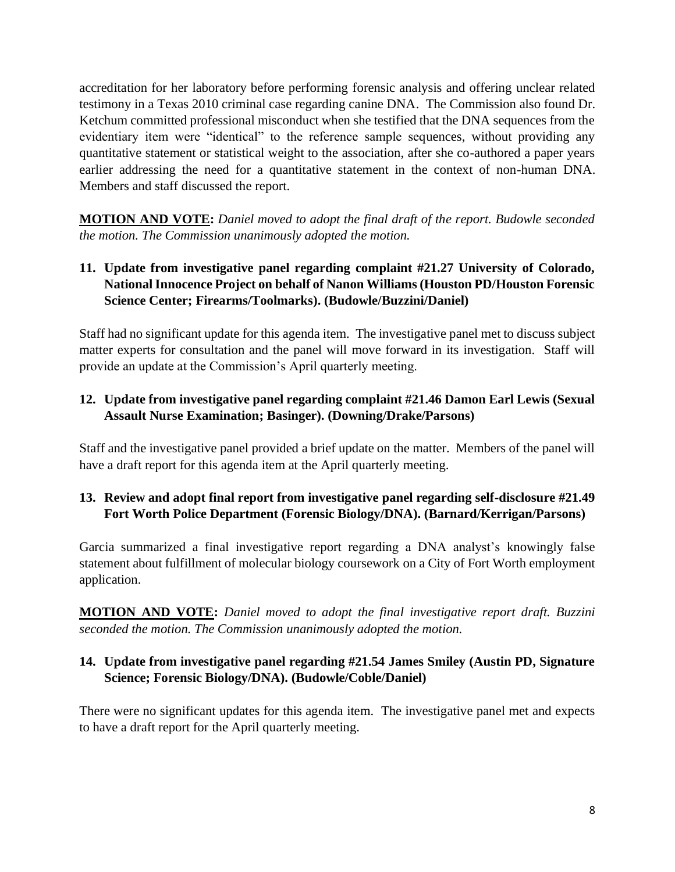accreditation for her laboratory before performing forensic analysis and offering unclear related testimony in a Texas 2010 criminal case regarding canine DNA. The Commission also found Dr. Ketchum committed professional misconduct when she testified that the DNA sequences from the evidentiary item were "identical" to the reference sample sequences, without providing any quantitative statement or statistical weight to the association, after she co-authored a paper years earlier addressing the need for a quantitative statement in the context of non-human DNA. Members and staff discussed the report.

**MOTION AND VOTE:** *Daniel moved to adopt the final draft of the report. Budowle seconded the motion. The Commission unanimously adopted the motion.*

### **11. Update from investigative panel regarding complaint #21.27 University of Colorado, National Innocence Project on behalf of Nanon Williams (Houston PD/Houston Forensic Science Center; Firearms/Toolmarks). (Budowle/Buzzini/Daniel)**

Staff had no significant update for this agenda item. The investigative panel met to discuss subject matter experts for consultation and the panel will move forward in its investigation. Staff will provide an update at the Commission's April quarterly meeting.

### **12. Update from investigative panel regarding complaint #21.46 Damon Earl Lewis (Sexual Assault Nurse Examination; Basinger). (Downing/Drake/Parsons)**

Staff and the investigative panel provided a brief update on the matter. Members of the panel will have a draft report for this agenda item at the April quarterly meeting.

## **13. Review and adopt final report from investigative panel regarding self-disclosure #21.49 Fort Worth Police Department (Forensic Biology/DNA). (Barnard/Kerrigan/Parsons)**

Garcia summarized a final investigative report regarding a DNA analyst's knowingly false statement about fulfillment of molecular biology coursework on a City of Fort Worth employment application.

**MOTION AND VOTE:** *Daniel moved to adopt the final investigative report draft. Buzzini seconded the motion. The Commission unanimously adopted the motion.*

### **14. Update from investigative panel regarding #21.54 James Smiley (Austin PD, Signature Science; Forensic Biology/DNA). (Budowle/Coble/Daniel)**

There were no significant updates for this agenda item. The investigative panel met and expects to have a draft report for the April quarterly meeting.